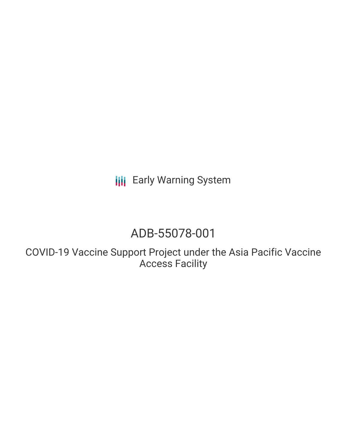**III** Early Warning System

# ADB-55078-001

COVID-19 Vaccine Support Project under the Asia Pacific Vaccine Access Facility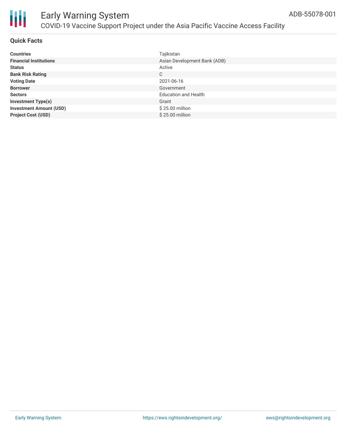

#### **Quick Facts**

| <b>Countries</b>               | Tajikistan                   |
|--------------------------------|------------------------------|
| <b>Financial Institutions</b>  | Asian Development Bank (ADB) |
| <b>Status</b>                  | Active                       |
| <b>Bank Risk Rating</b>        | C                            |
| <b>Voting Date</b>             | 2021-06-16                   |
| <b>Borrower</b>                | Government                   |
| <b>Sectors</b>                 | <b>Education and Health</b>  |
| <b>Investment Type(s)</b>      | Grant                        |
| <b>Investment Amount (USD)</b> | \$25.00 million              |
| <b>Project Cost (USD)</b>      | $$25.00$ million             |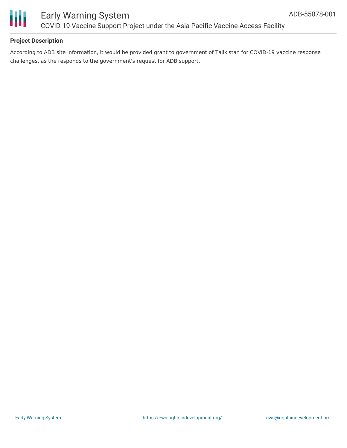

#### **Project Description**

According to ADB site information, it would be provided grant to government of Tajikistan for COVID-19 vaccine response challenges, as the responds to the government's request for ADB support.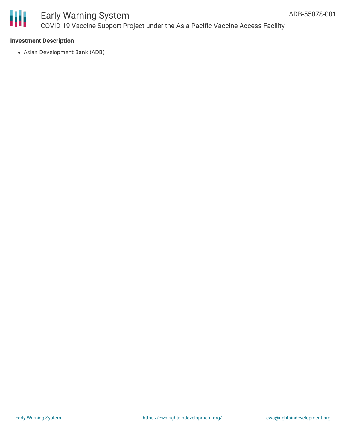

## Early Warning System COVID-19 Vaccine Support Project under the Asia Pacific Vaccine Access Facility

#### **Investment Description**

Asian Development Bank (ADB)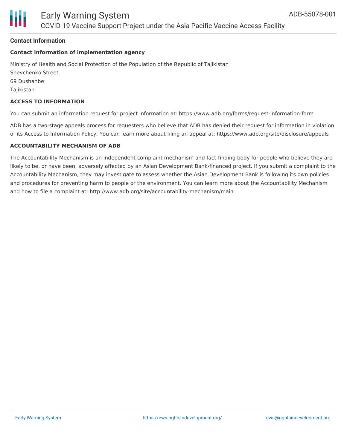#### **Contact Information**

#### **Contact information of implementation agency**

Ministry of Health and Social Protection of the Population of the Republic of Tajikistan Shevchenko Street 69 Dushanbe **Tajikistan** 

#### **ACCESS TO INFORMATION**

You can submit an information request for project information at: https://www.adb.org/forms/request-information-form

ADB has a two-stage appeals process for requesters who believe that ADB has denied their request for information in violation of its Access to Information Policy. You can learn more about filing an appeal at: https://www.adb.org/site/disclosure/appeals

#### **ACCOUNTABILITY MECHANISM OF ADB**

The Accountability Mechanism is an independent complaint mechanism and fact-finding body for people who believe they are likely to be, or have been, adversely affected by an Asian Development Bank-financed project. If you submit a complaint to the Accountability Mechanism, they may investigate to assess whether the Asian Development Bank is following its own policies and procedures for preventing harm to people or the environment. You can learn more about the Accountability Mechanism and how to file a complaint at: http://www.adb.org/site/accountability-mechanism/main.